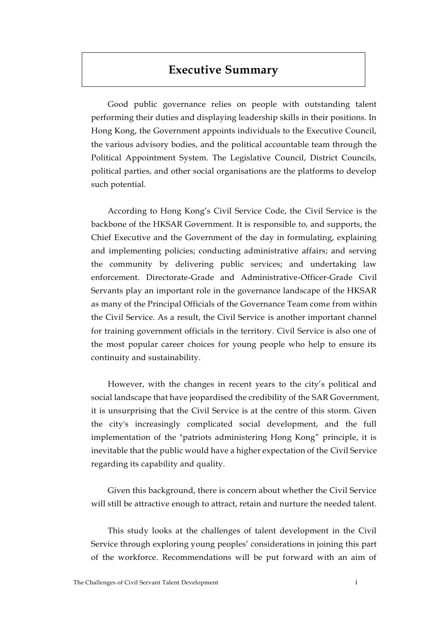## **Executive Summary**

Good public governance relies on people with outstanding talent performing their duties and displaying leadership skills in their positions. In Hong Kong, the Government appoints individuals to the Executive Council, the various advisory bodies, and the political accountable team through the Political Appointment System. The Legislative Council, District Councils, political parties, and other social organisations are the platforms to develop such potential.

According to Hong Kong's Civil Service Code, the Civil Service is the backbone of the HKSAR Government. It is responsible to, and supports, the Chief Executive and the Government of the day in formulating, explaining and implementing policies; conducting administrative affairs; and serving the community by delivering public services; and undertaking law enforcement. Directorate-Grade and Administrative-Officer-Grade Civil Servants play an important role in the governance landscape of the HKSAR as many of the Principal Officials of the Governance Team come from within the Civil Service. As a result, the Civil Service is another important channel for training government officials in the territory. Civil Service is also one of the most popular career choices for young people who help to ensure its continuity and sustainability.

However, with the changes in recent years to the city's political and social landscape that have jeopardised the credibility of the SAR Government, it is unsurprising that the Civil Service is at the centre of this storm. Given the city's increasingly complicated social development, and the full implementation of the "patriots administering Hong Kong" principle, it is inevitable that the public would have a higher expectation of the Civil Service regarding its capability and quality.

Given this background, there is concern about whether the Civil Service will still be attractive enough to attract, retain and nurture the needed talent.

This study looks at the challenges of talent development in the Civil Service through exploring young peoples' considerations in joining this part of the workforce. Recommendations will be put forward with an aim of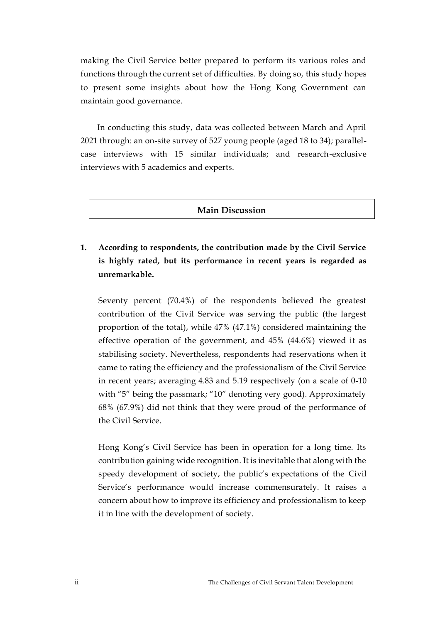making the Civil Service better prepared to perform its various roles and functions through the current set of difficulties. By doing so, this study hopes to present some insights about how the Hong Kong Government can maintain good governance.

In conducting this study, data was collected between March and April 2021 through: an on-site survey of 527 young people (aged 18 to 34); parallelcase interviews with 15 similar individuals; and research-exclusive interviews with 5 academics and experts.

## **Main Discussion**

**1. According to respondents, the contribution made by the Civil Service is highly rated, but its performance in recent years is regarded as unremarkable.** 

Seventy percent (70.4%) of the respondents believed the greatest contribution of the Civil Service was serving the public (the largest proportion of the total), while 47% (47.1%) considered maintaining the effective operation of the government, and 45% (44.6%) viewed it as stabilising society. Nevertheless, respondents had reservations when it came to rating the efficiency and the professionalism of the Civil Service in recent years; averaging 4.83 and 5.19 respectively (on a scale of 0-10 with "5" being the passmark; "10" denoting very good). Approximately 68% (67.9%) did not think that they were proud of the performance of the Civil Service.

Hong Kong's Civil Service has been in operation for a long time. Its contribution gaining wide recognition. It is inevitable that along with the speedy development of society, the public's expectations of the Civil Service's performance would increase commensurately. It raises a concern about how to improve its efficiency and professionalism to keep it in line with the development of society.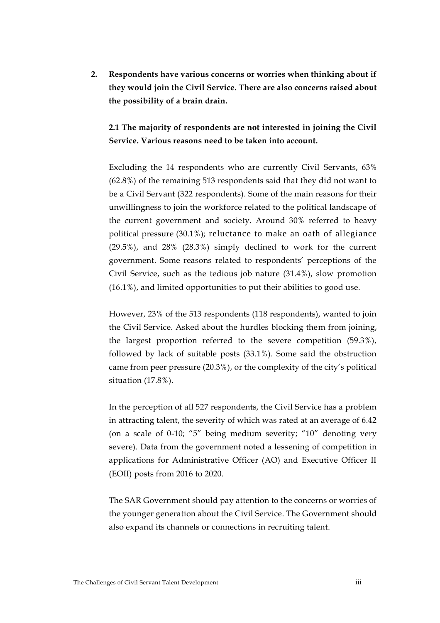**2. Respondents have various concerns or worries when thinking about if they would join the Civil Service. There are also concerns raised about the possibility of a brain drain.**

**2.1 The majority of respondents are not interested in joining the Civil Service. Various reasons need to be taken into account.** 

Excluding the 14 respondents who are currently Civil Servants, 63% (62.8%) of the remaining 513 respondents said that they did not want to be a Civil Servant (322 respondents). Some of the main reasons for their unwillingness to join the workforce related to the political landscape of the current government and society. Around 30% referred to heavy political pressure (30.1%); reluctance to make an oath of allegiance (29.5%), and 28% (28.3%) simply declined to work for the current government. Some reasons related to respondents' perceptions of the Civil Service, such as the tedious job nature (31.4%), slow promotion (16.1%), and limited opportunities to put their abilities to good use.

However, 23% of the 513 respondents (118 respondents), wanted to join the Civil Service. Asked about the hurdles blocking them from joining, the largest proportion referred to the severe competition (59.3%), followed by lack of suitable posts (33.1%). Some said the obstruction came from peer pressure (20.3%), or the complexity of the city's political situation (17.8%).

In the perception of all 527 respondents, the Civil Service has a problem in attracting talent, the severity of which was rated at an average of 6.42 (on a scale of 0-10; "5" being medium severity; "10" denoting very severe). Data from the government noted a lessening of competition in applications for Administrative Officer (AO) and Executive Officer II (EOII) posts from 2016 to 2020.

The SAR Government should pay attention to the concerns or worries of the younger generation about the Civil Service. The Government should also expand its channels or connections in recruiting talent.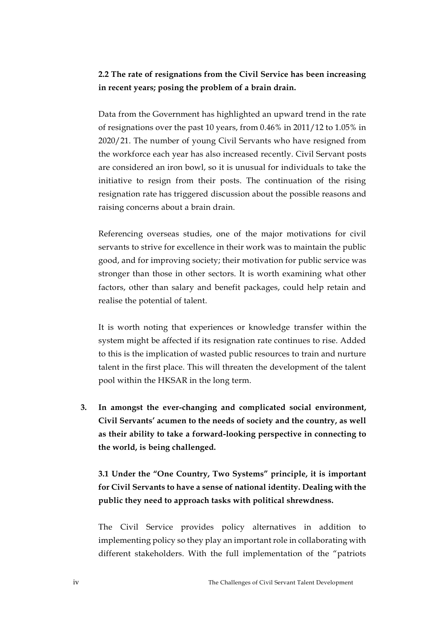## **2.2 The rate of resignations from the Civil Service has been increasing in recent years; posing the problem of a brain drain.**

Data from the Government has highlighted an upward trend in the rate of resignations over the past 10 years, from 0.46% in 2011/12 to 1.05% in 2020/21. The number of young Civil Servants who have resigned from the workforce each year has also increased recently. Civil Servant posts are considered an iron bowl, so it is unusual for individuals to take the initiative to resign from their posts. The continuation of the rising resignation rate has triggered discussion about the possible reasons and raising concerns about a brain drain.

Referencing overseas studies, one of the major motivations for civil servants to strive for excellence in their work was to maintain the public good, and for improving society; their motivation for public service was stronger than those in other sectors. It is worth examining what other factors, other than salary and benefit packages, could help retain and realise the potential of talent.

It is worth noting that experiences or knowledge transfer within the system might be affected if its resignation rate continues to rise. Added to this is the implication of wasted public resources to train and nurture talent in the first place. This will threaten the development of the talent pool within the HKSAR in the long term.

**3. In amongst the ever-changing and complicated social environment, Civil Servants' acumen to the needs of society and the country, as well as their ability to take a forward-looking perspective in connecting to the world, is being challenged.** 

**3.1 Under the "One Country, Two Systems" principle, it is important for Civil Servants to have a sense of national identity. Dealing with the public they need to approach tasks with political shrewdness.** 

The Civil Service provides policy alternatives in addition to implementing policy so they play an important role in collaborating with different stakeholders. With the full implementation of the "patriots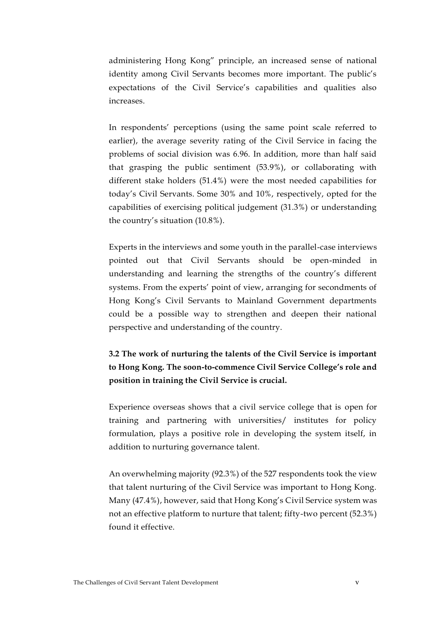administering Hong Kong" principle, an increased sense of national identity among Civil Servants becomes more important. The public's expectations of the Civil Service's capabilities and qualities also increases.

In respondents' perceptions (using the same point scale referred to earlier), the average severity rating of the Civil Service in facing the problems of social division was 6.96. In addition, more than half said that grasping the public sentiment (53.9%), or collaborating with different stake holders (51.4%) were the most needed capabilities for today's Civil Servants. Some 30% and 10%, respectively, opted for the capabilities of exercising political judgement (31.3%) or understanding the country's situation (10.8%).

Experts in the interviews and some youth in the parallel-case interviews pointed out that Civil Servants should be open-minded in understanding and learning the strengths of the country's different systems. From the experts' point of view, arranging for secondments of Hong Kong's Civil Servants to Mainland Government departments could be a possible way to strengthen and deepen their national perspective and understanding of the country.

**3.2 The work of nurturing the talents of the Civil Service is important to Hong Kong. The soon-to-commence Civil Service College's role and position in training the Civil Service is crucial.** 

Experience overseas shows that a civil service college that is open for training and partnering with universities/ institutes for policy formulation, plays a positive role in developing the system itself, in addition to nurturing governance talent.

An overwhelming majority (92.3%) of the 527 respondents took the view that talent nurturing of the Civil Service was important to Hong Kong. Many (47.4%), however, said that Hong Kong's Civil Service system was not an effective platform to nurture that talent; fifty-two percent (52.3%) found it effective.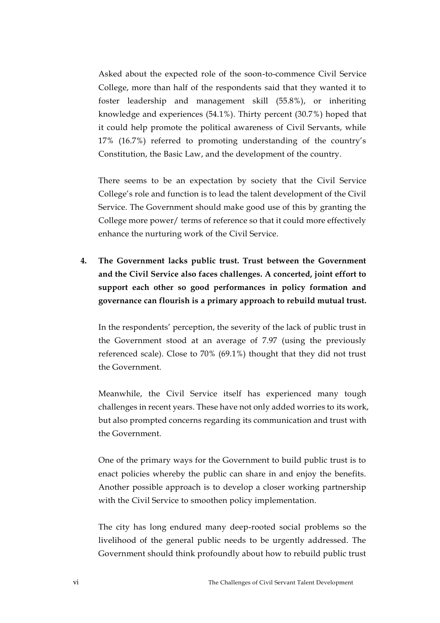Asked about the expected role of the soon-to-commence Civil Service College, more than half of the respondents said that they wanted it to foster leadership and management skill (55.8%), or inheriting knowledge and experiences (54.1%). Thirty percent (30.7%) hoped that it could help promote the political awareness of Civil Servants, while 17% (16.7%) referred to promoting understanding of the country's Constitution, the Basic Law, and the development of the country.

There seems to be an expectation by society that the Civil Service College's role and function is to lead the talent development of the Civil Service. The Government should make good use of this by granting the College more power/ terms of reference so that it could more effectively enhance the nurturing work of the Civil Service.

**4. The Government lacks public trust. Trust between the Government and the Civil Service also faces challenges. A concerted, joint effort to support each other so good performances in policy formation and governance can flourish is a primary approach to rebuild mutual trust.** 

In the respondents' perception, the severity of the lack of public trust in the Government stood at an average of 7.97 (using the previously referenced scale). Close to 70% (69.1%) thought that they did not trust the Government.

Meanwhile, the Civil Service itself has experienced many tough challenges in recent years. These have not only added worries to its work, but also prompted concerns regarding its communication and trust with the Government.

One of the primary ways for the Government to build public trust is to enact policies whereby the public can share in and enjoy the benefits. Another possible approach is to develop a closer working partnership with the Civil Service to smoothen policy implementation.

The city has long endured many deep-rooted social problems so the livelihood of the general public needs to be urgently addressed. The Government should think profoundly about how to rebuild public trust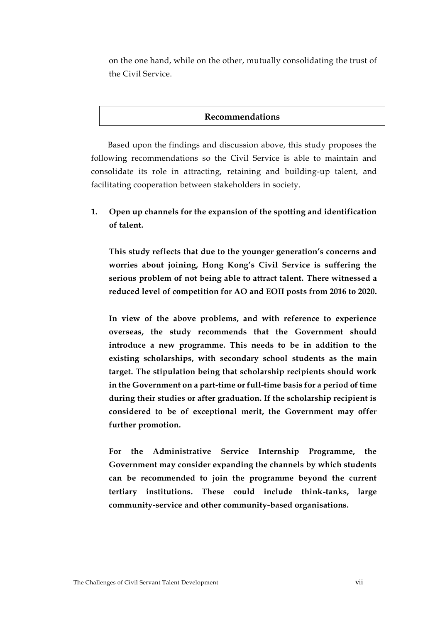on the one hand, while on the other, mutually consolidating the trust of the Civil Service.

## **Recommendations**

Based upon the findings and discussion above, this study proposes the following recommendations so the Civil Service is able to maintain and consolidate its role in attracting, retaining and building-up talent, and facilitating cooperation between stakeholders in society.

**1. Open up channels for the expansion of the spotting and identification of talent.**

**This study reflects that due to the younger generation's concerns and worries about joining, Hong Kong's Civil Service is suffering the serious problem of not being able to attract talent. There witnessed a reduced level of competition for AO and EOII posts from 2016 to 2020.** 

**In view of the above problems, and with reference to experience overseas, the study recommends that the Government should introduce a new programme. This needs to be in addition to the existing scholarships, with secondary school students as the main target. The stipulation being that scholarship recipients should work in the Government on a part-time or full-time basis for a period of time during their studies or after graduation. If the scholarship recipient is considered to be of exceptional merit, the Government may offer further promotion.**

**For the Administrative Service Internship Programme, the Government may consider expanding the channels by which students can be recommended to join the programme beyond the current tertiary institutions. These could include think-tanks, large community-service and other community-based organisations.**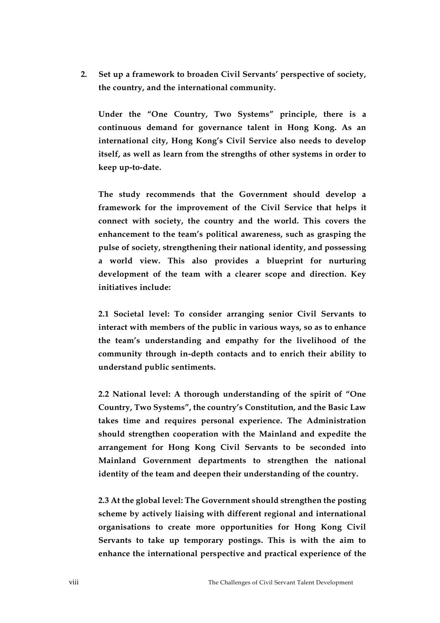**2. Set up a framework to broaden Civil Servants' perspective of society, the country, and the international community.**

**Under the "One Country, Two Systems" principle, there is a continuous demand for governance talent in Hong Kong. As an international city, Hong Kong's Civil Service also needs to develop itself, as well as learn from the strengths of other systems in order to keep up-to-date.**

**The study recommends that the Government should develop a framework for the improvement of the Civil Service that helps it connect with society, the country and the world. This covers the enhancement to the team's political awareness, such as grasping the pulse of society, strengthening their national identity, and possessing a world view. This also provides a blueprint for nurturing development of the team with a clearer scope and direction. Key initiatives include:**

**2.1 Societal level: To consider arranging senior Civil Servants to interact with members of the public in various ways, so as to enhance the team's understanding and empathy for the livelihood of the community through in-depth contacts and to enrich their ability to understand public sentiments.**

**2.2 National level: A thorough understanding of the spirit of "One Country, Two Systems", the country's Constitution, and the Basic Law takes time and requires personal experience. The Administration should strengthen cooperation with the Mainland and expedite the arrangement for Hong Kong Civil Servants to be seconded into Mainland Government departments to strengthen the national identity of the team and deepen their understanding of the country.**

**2.3 At the global level: The Government should strengthen the posting scheme by actively liaising with different regional and international organisations to create more opportunities for Hong Kong Civil Servants to take up temporary postings. This is with the aim to enhance the international perspective and practical experience of the**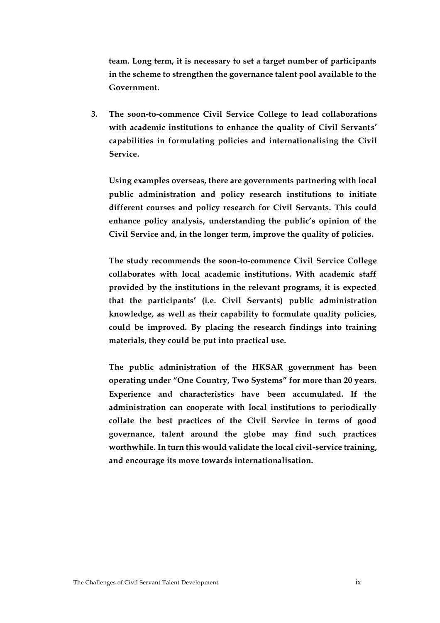**team. Long term, it is necessary to set a target number of participants in the scheme to strengthen the governance talent pool available to the Government.**

**3. The soon-to-commence Civil Service College to lead collaborations with academic institutions to enhance the quality of Civil Servants' capabilities in formulating policies and internationalising the Civil Service.**

**Using examples overseas, there are governments partnering with local public administration and policy research institutions to initiate different courses and policy research for Civil Servants. This could enhance policy analysis, understanding the public's opinion of the Civil Service and, in the longer term, improve the quality of policies.**

**The study recommends the soon-to-commence Civil Service College collaborates with local academic institutions. With academic staff provided by the institutions in the relevant programs, it is expected that the participants' (i.e. Civil Servants) public administration knowledge, as well as their capability to formulate quality policies, could be improved. By placing the research findings into training materials, they could be put into practical use.**

**The public administration of the HKSAR government has been operating under "One Country, Two Systems" for more than 20 years. Experience and characteristics have been accumulated. If the administration can cooperate with local institutions to periodically collate the best practices of the Civil Service in terms of good governance, talent around the globe may find such practices worthwhile. In turn this would validate the local civil-service training, and encourage its move towards internationalisation.**